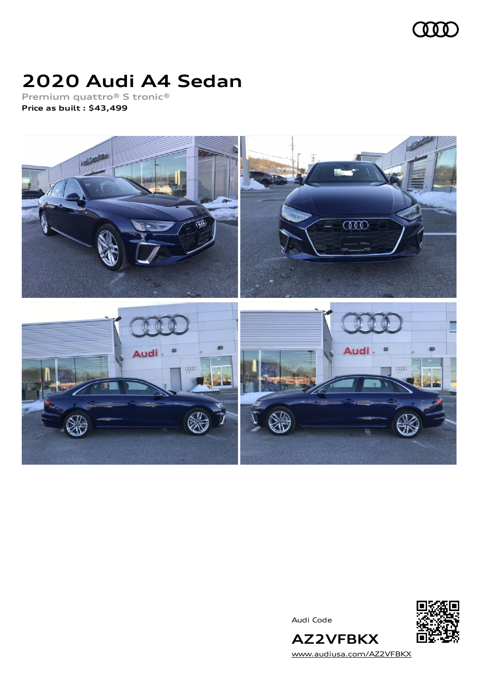

# **2020 Audi A4 Sedan**

**Premium quattro® S tronic® Price as built [:](#page-8-0) \$43,499**



Audi Code



[www.audiusa.com/AZ2VFBKX](https://www.audiusa.com/AZ2VFBKX)

**AZ2VFBKX**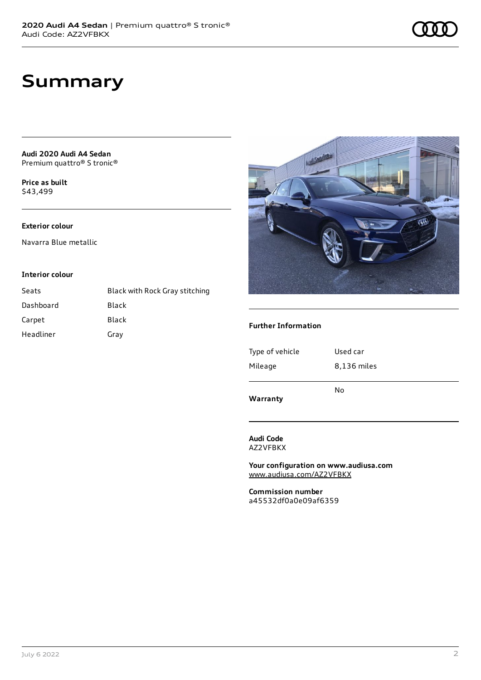## **Summary**

**Audi 2020 Audi A4 Sedan** Premium quattro® S tronic®

**Price as buil[t](#page-8-0)** \$43,499

### **Exterior colour**

Navarra Blue metallic

#### **Interior colour**

| Seats     | Black with Rock Gray stitching |
|-----------|--------------------------------|
| Dashboard | Black                          |
| Carpet    | Black                          |
| Headliner | Gray                           |



### **Further Information**

| Warranty        |             |
|-----------------|-------------|
|                 | No          |
| Mileage         | 8,136 miles |
| Type of vehicle | Used car    |
|                 |             |

**Audi Code**

AZ2VFBKX

**Your configuration on www.audiusa.com** [www.audiusa.com/AZ2VFBKX](https://www.audiusa.com/AZ2VFBKX)

**Commission number** a45532df0a0e09af6359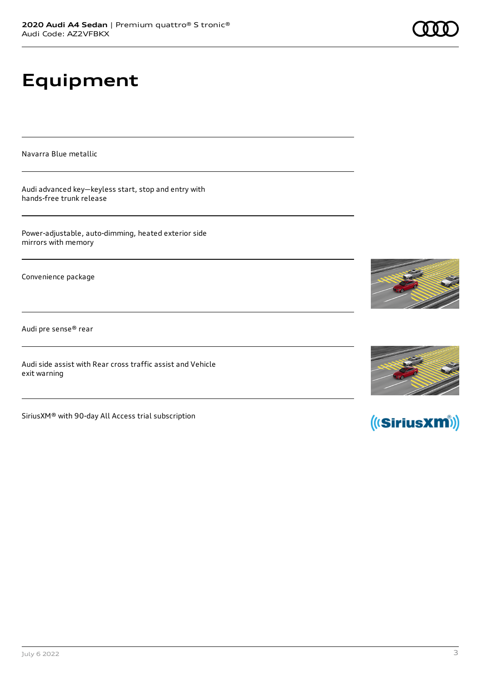# **Equipment**

Navarra Blue metallic

Audi advanced key—keyless start, stop and entry with hands-free trunk release

Power-adjustable, auto-dimming, heated exterior side mirrors with memory

Convenience package

Audi pre sense® rear

Audi side assist with Rear cross traffic assist and Vehicle exit warning

SiriusXM® with 90-day All Access trial subscription







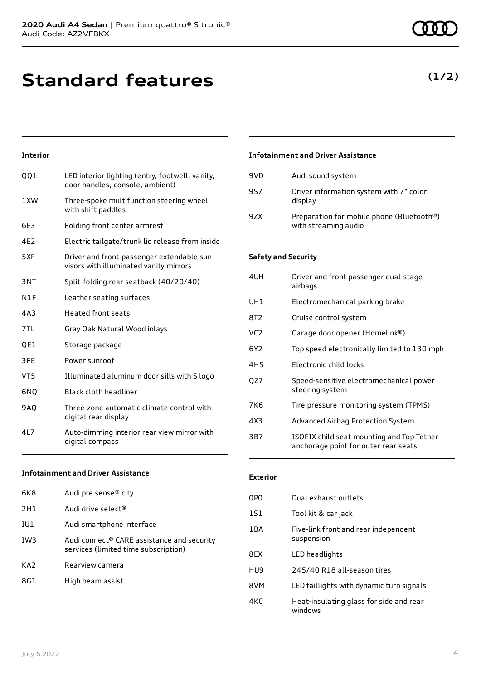# **Standard features**

### **Interior**

| 001             | LED interior lighting (entry, footwell, vanity,<br>door handles, console, ambient)  |
|-----------------|-------------------------------------------------------------------------------------|
| 1XW             | Three-spoke multifunction steering wheel<br>with shift paddles                      |
| 6E3             | Folding front center armrest                                                        |
| 4E2             | Electric tailgate/trunk lid release from inside                                     |
| 5XF             | Driver and front-passenger extendable sun<br>visors with illuminated vanity mirrors |
| 3NT             | Split-folding rear seatback (40/20/40)                                              |
| N1F             | Leather seating surfaces                                                            |
| 4A3             | <b>Heated front seats</b>                                                           |
| 7TL             | Gray Oak Natural Wood inlays                                                        |
| QE1             | Storage package                                                                     |
| 3FE             | Power sunroof                                                                       |
| VT <sub>5</sub> | Illuminated aluminum door sills with S logo                                         |
| 6NO             | Black cloth headliner                                                               |
| <b>9AQ</b>      | Three-zone automatic climate control with<br>digital rear display                   |
| 4L7             | Auto-dimming interior rear view mirror with<br>digital compass                      |

### **Infotainment and Driver Assistance**

| 6K8 | Audi pre sense <sup>®</sup> city                                                   |
|-----|------------------------------------------------------------------------------------|
| 2H1 | Audi drive select <sup>®</sup>                                                     |
| IU1 | Audi smartphone interface                                                          |
| TW3 | Audi connect® CARE assistance and security<br>services (limited time subscription) |
| KA2 | Rearview camera                                                                    |
| 8G1 | High beam assist                                                                   |
|     |                                                                                    |

### **Infotainment and Driver Assistance**

| 9VD | Audi sound system                                                 |
|-----|-------------------------------------------------------------------|
| 9S7 | Driver information system with 7" color<br>display                |
| 9ZX | Preparation for mobile phone (Bluetooth®)<br>with streaming audio |

### **Safety and Security**

| 4UH             | Driver and front passenger dual-stage<br>airbags                                  |
|-----------------|-----------------------------------------------------------------------------------|
| UH1             | Electromechanical parking brake                                                   |
| 8T2             | Cruise control system                                                             |
| VC <sub>2</sub> | Garage door opener (Homelink®)                                                    |
| 6Y2             | Top speed electronically limited to 130 mph                                       |
| 4H5             | Electronic child locks                                                            |
| OZ7             | Speed-sensitive electromechanical power<br>steering system                        |
| 7K6             | Tire pressure monitoring system (TPMS)                                            |
| 4X3             | Advanced Airbag Protection System                                                 |
| 3B7             | ISOFIX child seat mounting and Top Tether<br>anchorage point for outer rear seats |

### **Exterior**

| 0PO              | Dual exhaust outlets                               |
|------------------|----------------------------------------------------|
| 1S1              | Tool kit & car jack                                |
| 1 <sub>B</sub> A | Five-link front and rear independent<br>suspension |
| 8FX              | LED headlights                                     |
| HU9              | 245/40 R18 all-season tires                        |
| 8VM              | LED taillights with dynamic turn signals           |
| 4KC              | Heat-insulating glass for side and rear<br>windows |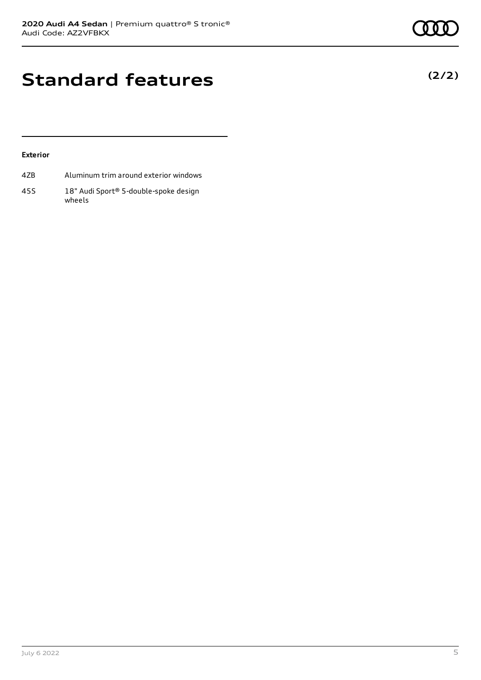**(2/2)**

# **Standard features**

### **Exterior**

- 4ZB Aluminum trim around exterior windows
- 45S 18" Audi Sport® 5-double-spoke design wheels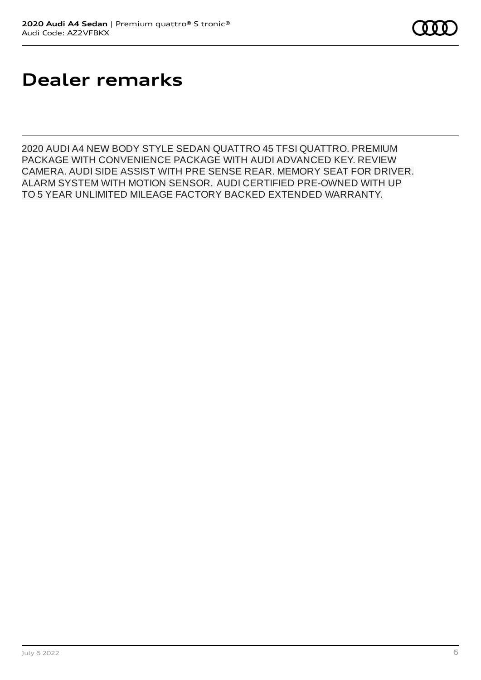# **Dealer remarks**

2020 AUDI A4 NEW BODY STYLE SEDAN QUATTRO 45 TFSI QUATTRO. PREMIUM PACKAGE WITH CONVENIENCE PACKAGE WITH AUDI ADVANCED KEY. REVIEW CAMERA. AUDI SIDE ASSIST WITH PRE SENSE REAR. MEMORY SEAT FOR DRIVER. ALARM SYSTEM WITH MOTION SENSOR. AUDI CERTIFIED PRE-OWNED WITH UP TO 5 YEAR UNLIMITED MILEAGE FACTORY BACKED EXTENDED WARRANTY.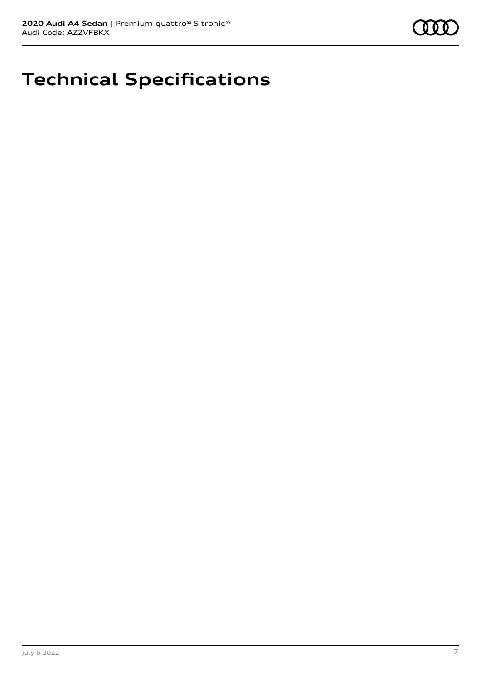

# **Technical Specifications**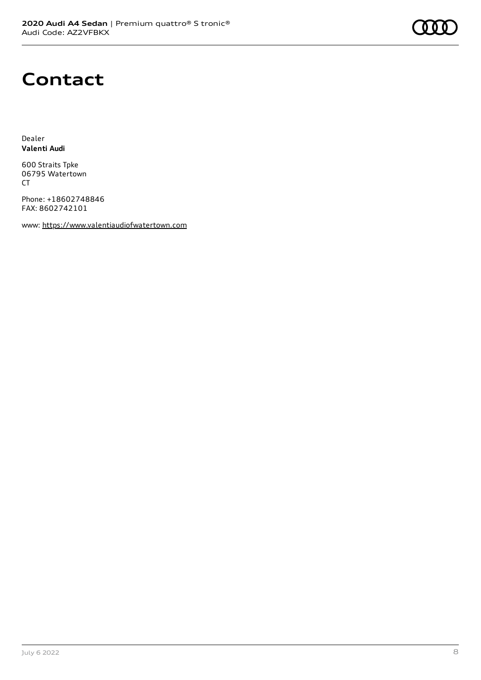# **Contact**

Dealer **Valenti Audi**

600 Straits Tpke 06795 Watertown CT

Phone: +18602748846 FAX: 8602742101

www: [https://www.valentiaudiofwatertown.com](https://www.valentiaudiofwatertown.com/)